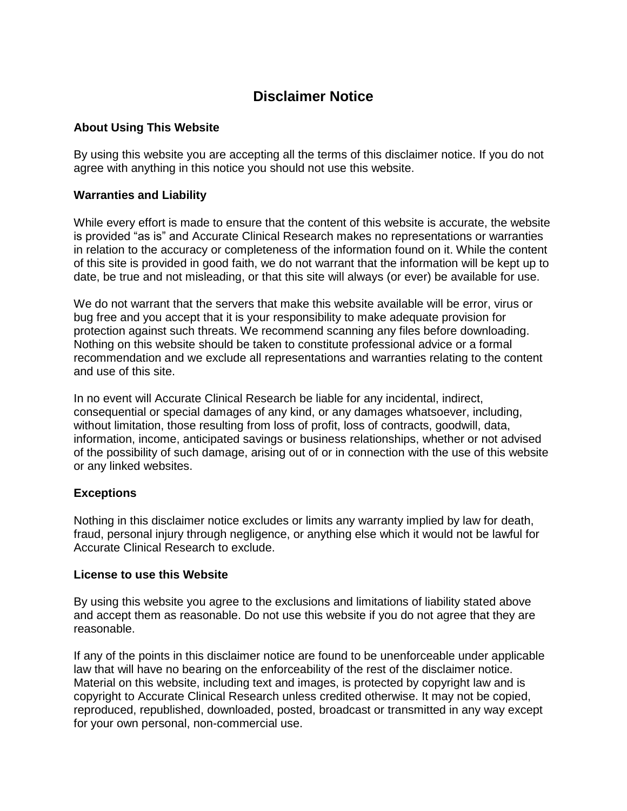# **Disclaimer Notice**

## **About Using This Website**

By using this website you are accepting all the terms of this disclaimer notice. If you do not agree with anything in this notice you should not use this website.

## **Warranties and Liability**

While every effort is made to ensure that the content of this website is accurate, the website is provided "as is" and Accurate Clinical Research makes no representations or warranties in relation to the accuracy or completeness of the information found on it. While the content of this site is provided in good faith, we do not warrant that the information will be kept up to date, be true and not misleading, or that this site will always (or ever) be available for use.

We do not warrant that the servers that make this website available will be error, virus or bug free and you accept that it is your responsibility to make adequate provision for protection against such threats. We recommend scanning any files before downloading. Nothing on this website should be taken to constitute professional advice or a formal recommendation and we exclude all representations and warranties relating to the content and use of this site.

In no event will Accurate Clinical Research be liable for any incidental, indirect, consequential or special damages of any kind, or any damages whatsoever, including, without limitation, those resulting from loss of profit, loss of contracts, goodwill, data, information, income, anticipated savings or business relationships, whether or not advised of the possibility of such damage, arising out of or in connection with the use of this website or any linked websites.

#### **Exceptions**

Nothing in this disclaimer notice excludes or limits any warranty implied by law for death, fraud, personal injury through negligence, or anything else which it would not be lawful for Accurate Clinical Research to exclude.

#### **License to use this Website**

By using this website you agree to the exclusions and limitations of liability stated above and accept them as reasonable. Do not use this website if you do not agree that they are reasonable.

If any of the points in this disclaimer notice are found to be unenforceable under applicable law that will have no bearing on the enforceability of the rest of the disclaimer notice. Material on this website, including text and images, is protected by copyright law and is copyright to Accurate Clinical Research unless credited otherwise. It may not be copied, reproduced, republished, downloaded, posted, broadcast or transmitted in any way except for your own personal, non-commercial use.